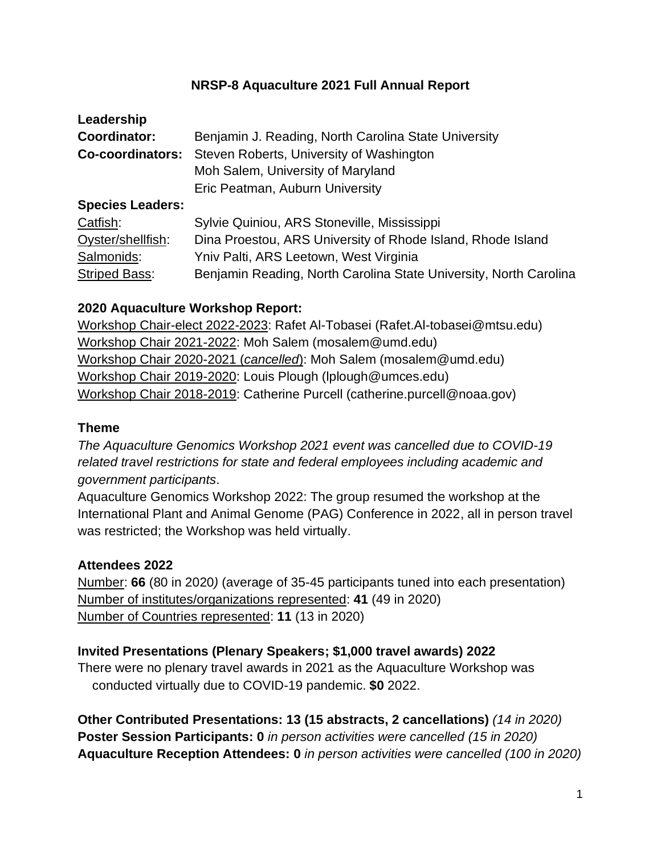#### **NRSP-8 Aquaculture 2021 Full Annual Report**

| Leadership              |                                                                   |
|-------------------------|-------------------------------------------------------------------|
| Coordinator:            | Benjamin J. Reading, North Carolina State University              |
| Co-coordinators:        | Steven Roberts, University of Washington                          |
|                         | Moh Salem, University of Maryland                                 |
|                         | Eric Peatman, Auburn University                                   |
| <b>Species Leaders:</b> |                                                                   |
| Catfish:                | Sylvie Quiniou, ARS Stoneville, Mississippi                       |
| Oyster/shellfish:       | Dina Proestou, ARS University of Rhode Island, Rhode Island       |
| Salmonids:              | Yniv Palti, ARS Leetown, West Virginia                            |
| <b>Striped Bass:</b>    | Benjamin Reading, North Carolina State University, North Carolina |

### **2020 Aquaculture Workshop Report:**

Workshop Chair-elect 2022-2023: Rafet Al-Tobasei (Rafet.Al-tobasei@mtsu.edu) Workshop Chair 2021-2022: Moh Salem (mosalem@umd.edu) Workshop Chair 2020-2021 (*cancelled*): Moh Salem (mosalem@umd.edu) Workshop Chair 2019-2020: Louis Plough (lplough@umces.edu) Workshop Chair 2018-2019: Catherine Purcell (catherine.purcell@noaa.gov)

#### **Theme**

*The Aquaculture Genomics Workshop 2021 event was cancelled due to COVID-19 related travel restrictions for state and federal employees including academic and government participants*.

Aquaculture Genomics Workshop 2022: The group resumed the workshop at the International Plant and Animal Genome (PAG) Conference in 2022, all in person travel was restricted; the Workshop was held virtually.

## **Attendees 2022**

Number: **66** (80 in 2020*)* (average of 35-45 participants tuned into each presentation) Number of institutes/organizations represented: **41** (49 in 2020) Number of Countries represented: **11** (13 in 2020)

## **Invited Presentations (Plenary Speakers; \$1,000 travel awards) 2022**

There were no plenary travel awards in 2021 as the Aquaculture Workshop was conducted virtually due to COVID-19 pandemic. **\$0** 2022.

**Other Contributed Presentations: 13 (15 abstracts, 2 cancellations)** *(14 in 2020)* **Poster Session Participants: 0** *in person activities were cancelled (15 in 2020)* **Aquaculture Reception Attendees: 0** *in person activities were cancelled (100 in 2020)*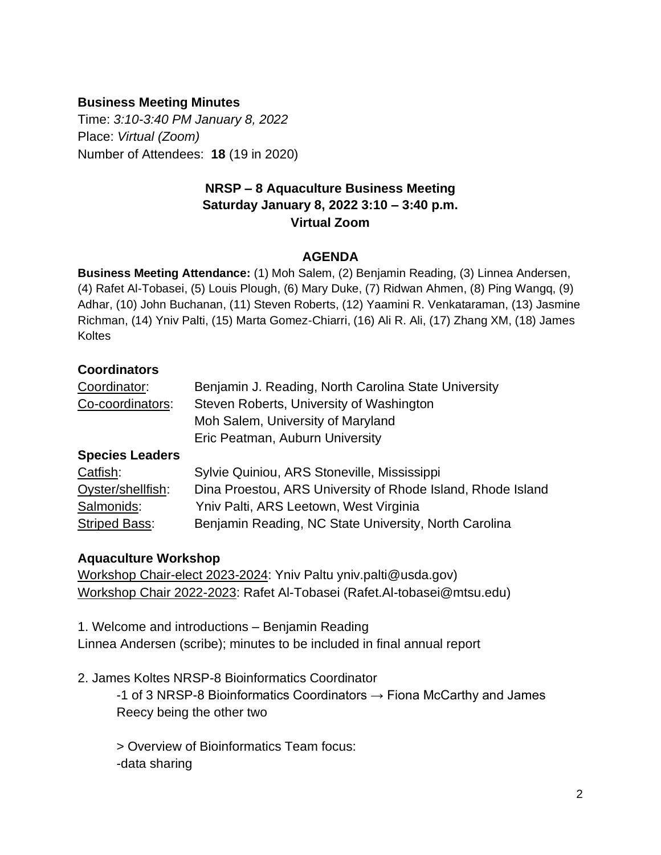#### **Business Meeting Minutes**

Time: *3:10-3:40 PM January 8, 2022* Place: *Virtual (Zoom)* Number of Attendees: **18** (19 in 2020)

### **NRSP – 8 Aquaculture Business Meeting Saturday January 8, 2022 3:10 – 3:40 p.m. Virtual Zoom**

#### **AGENDA**

**Business Meeting Attendance:** (1) Moh Salem, (2) Benjamin Reading, (3) Linnea Andersen, (4) Rafet Al-Tobasei, (5) Louis Plough, (6) Mary Duke, (7) Ridwan Ahmen, (8) Ping Wangq, (9) Adhar, (10) John Buchanan, (11) Steven Roberts, (12) Yaamini R. Venkataraman, (13) Jasmine Richman, (14) Yniv Palti, (15) Marta Gomez-Chiarri, (16) Ali R. Ali, (17) Zhang XM, (18) James **Koltes** 

#### **Coordinators**

| Coordinator:           | Benjamin J. Reading, North Carolina State University        |
|------------------------|-------------------------------------------------------------|
| Co-coordinators:       | Steven Roberts, University of Washington                    |
|                        | Moh Salem, University of Maryland                           |
|                        | Eric Peatman, Auburn University                             |
| <b>Species Leaders</b> |                                                             |
| Catfish:               | Sylvie Quiniou, ARS Stoneville, Mississippi                 |
| Oyster/shellfish:      | Dina Proestou, ARS University of Rhode Island, Rhode Island |
| Salmonids:             | Yniv Palti, ARS Leetown, West Virginia                      |
| <b>Striped Bass:</b>   | Benjamin Reading, NC State University, North Carolina       |

# **Aquaculture Workshop**

Workshop Chair-elect 2023-2024: Yniv Paltu yniv.palti@usda.gov) Workshop Chair 2022-2023: Rafet Al-Tobasei (Rafet.Al-tobasei@mtsu.edu)

1. Welcome and introductions – Benjamin Reading Linnea Andersen (scribe); minutes to be included in final annual report

2. James Koltes NRSP-8 Bioinformatics Coordinator

-1 of 3 NRSP-8 Bioinformatics Coordinators  $\rightarrow$  Fiona McCarthy and James Reecy being the other two

> Overview of Bioinformatics Team focus: -data sharing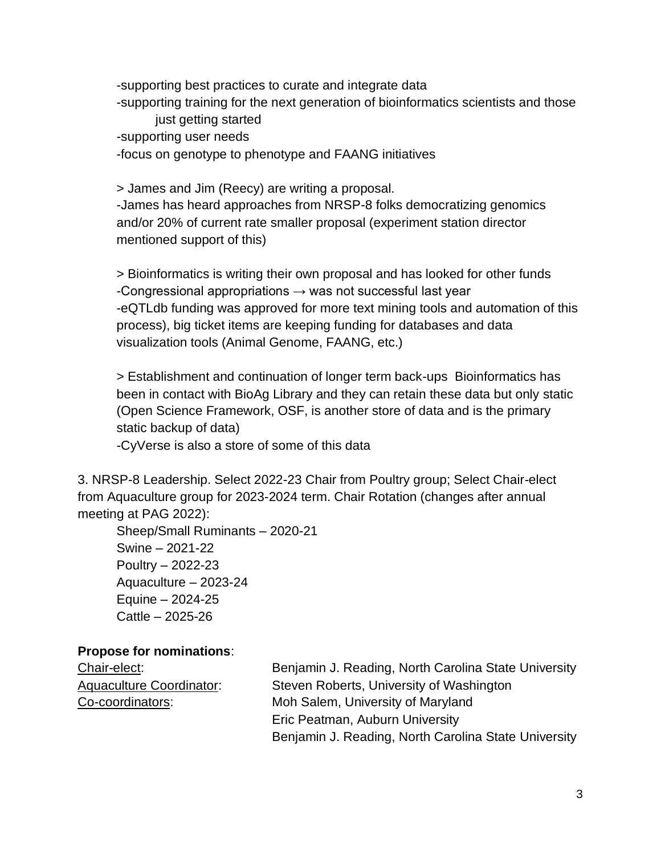-supporting best practices to curate and integrate data -supporting training for the next generation of bioinformatics scientists and those just getting started -supporting user needs -focus on genotype to phenotype and FAANG initiatives

> James and Jim (Reecy) are writing a proposal. -James has heard approaches from NRSP-8 folks democratizing genomics and/or 20% of current rate smaller proposal (experiment station director mentioned support of this)

> Bioinformatics is writing their own proposal and has looked for other funds -Congressional appropriations  $\rightarrow$  was not successful last year -eQTLdb funding was approved for more text mining tools and automation of this process), big ticket items are keeping funding for databases and data visualization tools (Animal Genome, FAANG, etc.)

> Establishment and continuation of longer term back-ups Bioinformatics has been in contact with BioAg Library and they can retain these data but only static (Open Science Framework, OSF, is another store of data and is the primary static backup of data)

-CyVerse is also a store of some of this data

3. NRSP-8 Leadership. Select 2022-23 Chair from Poultry group; Select Chair-elect from Aquaculture group for 2023-2024 term. Chair Rotation (changes after annual meeting at PAG 2022):

Sheep/Small Ruminants – 2020-21 Swine – 2021-22 Poultry – 2022-23 Aquaculture – 2023-24 Equine – 2024-25 Cattle – 2025-26

#### **Propose for nominations**:

Chair-elect: Benjamin J. Reading, North Carolina State University Aquaculture Coordinator: Steven Roberts, University of Washington Co-coordinators: Moh Salem, University of Maryland Eric Peatman, Auburn University Benjamin J. Reading, North Carolina State University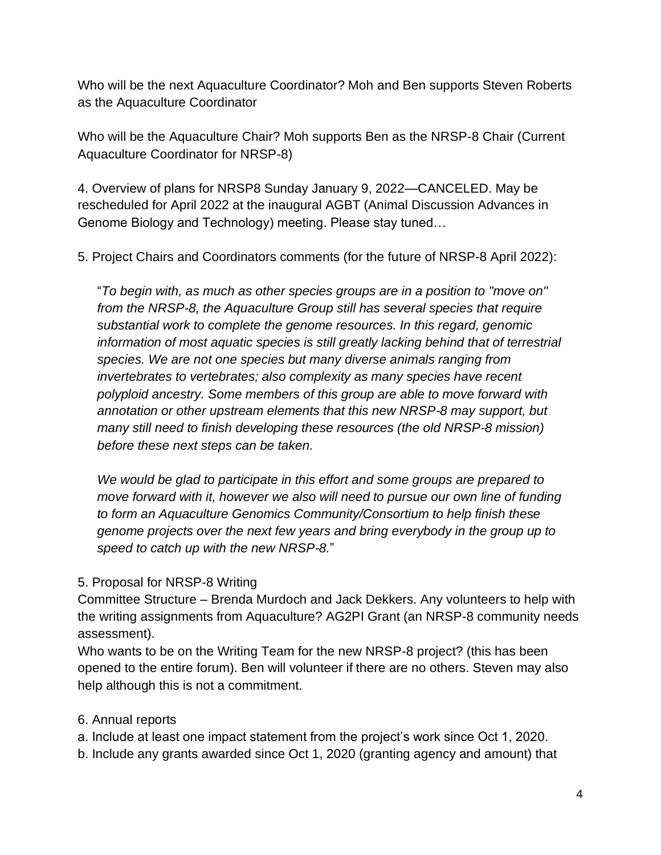Who will be the next Aquaculture Coordinator? Moh and Ben supports Steven Roberts as the Aquaculture Coordinator

Who will be the Aquaculture Chair? Moh supports Ben as the NRSP-8 Chair (Current Aquaculture Coordinator for NRSP-8)

4. Overview of plans for NRSP8 Sunday January 9, 2022—CANCELED. May be rescheduled for April 2022 at the inaugural AGBT (Animal Discussion Advances in Genome Biology and Technology) meeting. Please stay tuned…

5. Project Chairs and Coordinators comments (for the future of NRSP-8 April 2022):

"*To begin with, as much as other species groups are in a position to "move on" from the NRSP-8, the Aquaculture Group still has several species that require substantial work to complete the genome resources. In this regard, genomic information of most aquatic species is still greatly lacking behind that of terrestrial species. We are not one species but many diverse animals ranging from invertebrates to vertebrates; also complexity as many species have recent polyploid ancestry. Some members of this group are able to move forward with annotation or other upstream elements that this new NRSP-8 may support, but many still need to finish developing these resources (the old NRSP-8 mission) before these next steps can be taken.* 

*We would be glad to participate in this effort and some groups are prepared to move forward with it, however we also will need to pursue our own line of funding to form an Aquaculture Genomics Community/Consortium to help finish these genome projects over the next few years and bring everybody in the group up to speed to catch up with the new NRSP-8.*"

## 5. Proposal for NRSP-8 Writing

Committee Structure – Brenda Murdoch and Jack Dekkers. Any volunteers to help with the writing assignments from Aquaculture? AG2PI Grant (an NRSP-8 community needs assessment).

Who wants to be on the Writing Team for the new NRSP-8 project? (this has been opened to the entire forum). Ben will volunteer if there are no others. Steven may also help although this is not a commitment.

## 6. Annual reports

a. Include at least one impact statement from the project's work since Oct 1, 2020.

b. Include any grants awarded since Oct 1, 2020 (granting agency and amount) that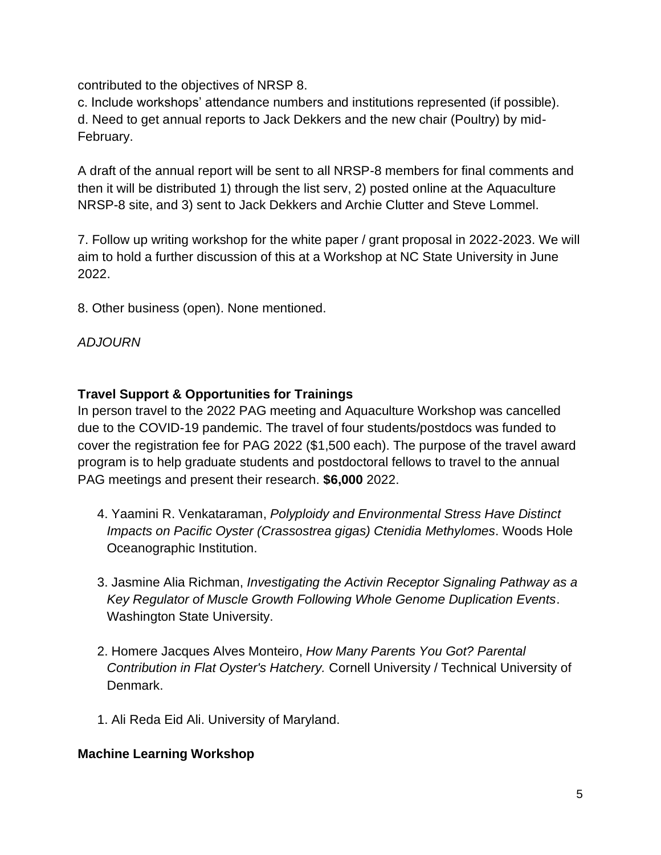contributed to the objectives of NRSP 8.

c. Include workshops' attendance numbers and institutions represented (if possible). d. Need to get annual reports to Jack Dekkers and the new chair (Poultry) by mid-February.

A draft of the annual report will be sent to all NRSP-8 members for final comments and then it will be distributed 1) through the list serv, 2) posted online at the Aquaculture NRSP-8 site, and 3) sent to Jack Dekkers and Archie Clutter and Steve Lommel.

7. Follow up writing workshop for the white paper / grant proposal in 2022-2023. We will aim to hold a further discussion of this at a Workshop at NC State University in June 2022.

8. Other business (open). None mentioned.

*ADJOURN*

### **Travel Support & Opportunities for Trainings**

In person travel to the 2022 PAG meeting and Aquaculture Workshop was cancelled due to the COVID-19 pandemic. The travel of four students/postdocs was funded to cover the registration fee for PAG 2022 (\$1,500 each). The purpose of the travel award program is to help graduate students and postdoctoral fellows to travel to the annual PAG meetings and present their research. **\$6,000** 2022.

- 4. Yaamini R. Venkataraman, *Polyploidy and Environmental Stress Have Distinct Impacts on Pacific Oyster (Crassostrea gigas) Ctenidia Methylomes*. Woods Hole Oceanographic Institution.
- 3. Jasmine Alia Richman, *Investigating the Activin Receptor Signaling Pathway as a Key Regulator of Muscle Growth Following Whole Genome Duplication Events*. Washington State University.
- 2. Homere Jacques Alves Monteiro, *How Many Parents You Got? Parental Contribution in Flat Oyster's Hatchery.* Cornell University / Technical University of Denmark.
- 1. Ali Reda Eid Ali. University of Maryland.

#### **Machine Learning Workshop**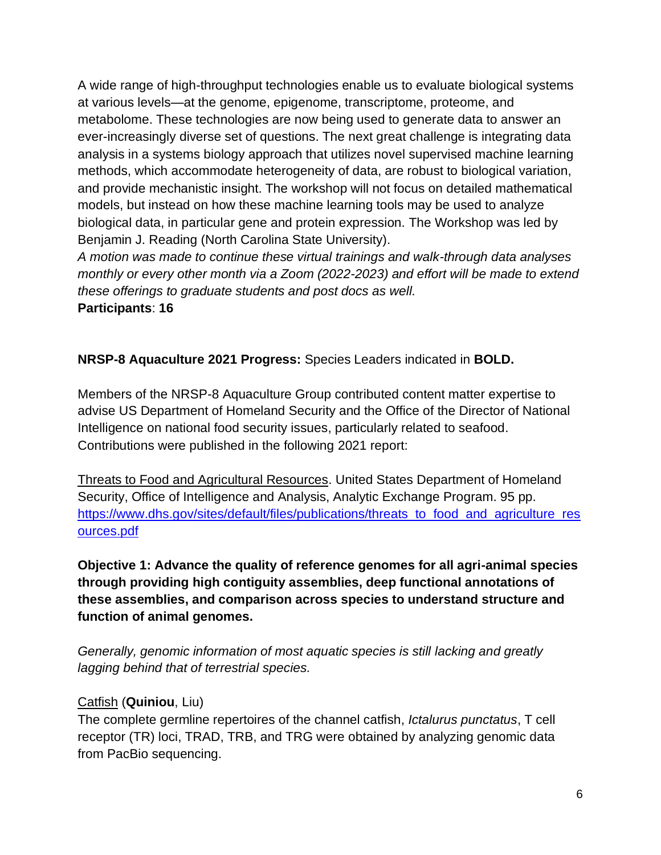A wide range of high-throughput technologies enable us to evaluate biological systems at various levels—at the genome, epigenome, transcriptome, proteome, and metabolome. These technologies are now being used to generate data to answer an ever-increasingly diverse set of questions. The next great challenge is integrating data analysis in a systems biology approach that utilizes novel supervised machine learning methods, which accommodate heterogeneity of data, are robust to biological variation, and provide mechanistic insight. The workshop will not focus on detailed mathematical models, but instead on how these machine learning tools may be used to analyze biological data, in particular gene and protein expression. The Workshop was led by Benjamin J. Reading (North Carolina State University).

*A motion was made to continue these virtual trainings and walk-through data analyses monthly or every other month via a Zoom (2022-2023) and effort will be made to extend these offerings to graduate students and post docs as well.* **Participants**: **16**

**NRSP-8 Aquaculture 2021 Progress:** Species Leaders indicated in **BOLD.**

Members of the NRSP-8 Aquaculture Group contributed content matter expertise to advise US Department of Homeland Security and the Office of the Director of National Intelligence on national food security issues, particularly related to seafood. Contributions were published in the following 2021 report:

Threats to Food and Agricultural Resources. United States Department of Homeland Security, Office of Intelligence and Analysis, Analytic Exchange Program. 95 pp. [https://www.dhs.gov/sites/default/files/publications/threats\\_to\\_food\\_and\\_agriculture\\_res](https://www.dhs.gov/sites/default/files/publications/threats_to_food_and_agriculture_resources.pdf) [ources.pdf](https://www.dhs.gov/sites/default/files/publications/threats_to_food_and_agriculture_resources.pdf)

**Objective 1: Advance the quality of reference genomes for all agri-animal species through providing high contiguity assemblies, deep functional annotations of these assemblies, and comparison across species to understand structure and function of animal genomes.**

*Generally, genomic information of most aquatic species is still lacking and greatly lagging behind that of terrestrial species.*

## Catfish (**Quiniou**, Liu)

The complete germline repertoires of the channel catfish, *Ictalurus punctatus*, T cell receptor (TR) loci, TRAD, TRB, and TRG were obtained by analyzing genomic data from PacBio sequencing.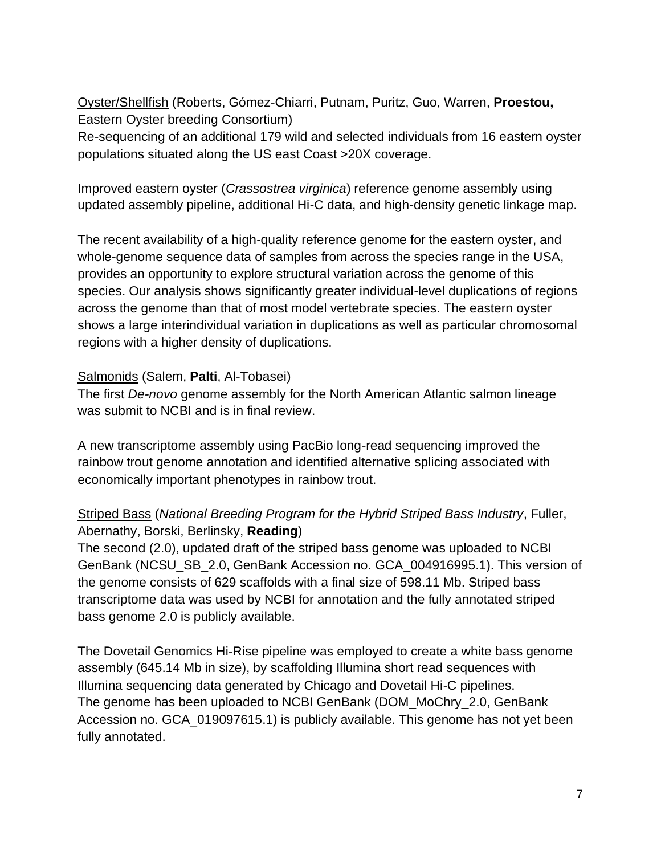Oyster/Shellfish (Roberts, Gómez-Chiarri, Putnam, Puritz, Guo, Warren, **Proestou,**  Eastern Oyster breeding Consortium)

Re-sequencing of an additional 179 wild and selected individuals from 16 eastern oyster populations situated along the US east Coast >20X coverage.

Improved eastern oyster (*Crassostrea virginica*) reference genome assembly using updated assembly pipeline, additional Hi-C data, and high-density genetic linkage map.

The recent availability of a high-quality reference genome for the eastern oyster, and whole-genome sequence data of samples from across the species range in the USA, provides an opportunity to explore structural variation across the genome of this species. Our analysis shows significantly greater individual-level duplications of regions across the genome than that of most model vertebrate species. The eastern oyster shows a large interindividual variation in duplications as well as particular chromosomal regions with a higher density of duplications.

#### Salmonids (Salem, **Palti**, Al-Tobasei)

The first *De-novo* genome assembly for the North American Atlantic salmon lineage was submit to NCBI and is in final review.

A new transcriptome assembly using PacBio long-read sequencing improved the rainbow trout genome annotation and identified alternative splicing associated with economically important phenotypes in rainbow trout.

## Striped Bass (*National Breeding Program for the Hybrid Striped Bass Industry*, Fuller, Abernathy, Borski, Berlinsky, **Reading**)

The second (2.0), updated draft of the striped bass genome was uploaded to NCBI GenBank (NCSU\_SB\_2.0, GenBank Accession no. GCA\_004916995.1). This version of the genome consists of 629 scaffolds with a final size of 598.11 Mb. Striped bass transcriptome data was used by NCBI for annotation and the fully annotated striped bass genome 2.0 is publicly available.

The Dovetail Genomics Hi-Rise pipeline was employed to create a white bass genome assembly (645.14 Mb in size), by scaffolding Illumina short read sequences with Illumina sequencing data generated by Chicago and Dovetail Hi-C pipelines. The genome has been uploaded to NCBI GenBank (DOM\_MoChry\_2.0, GenBank Accession no. GCA\_019097615.1) is publicly available. This genome has not yet been fully annotated.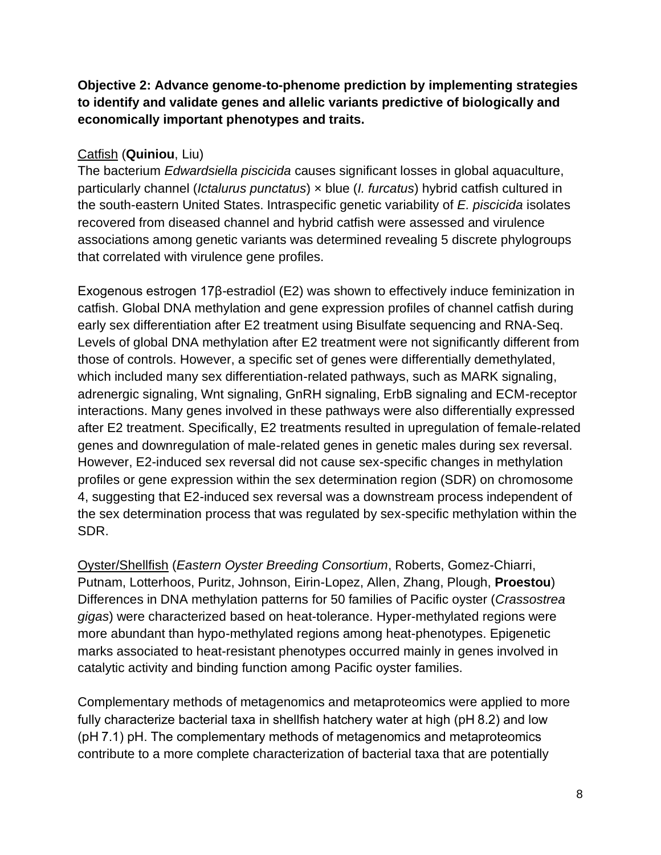**Objective 2: Advance genome-to-phenome prediction by implementing strategies to identify and validate genes and allelic variants predictive of biologically and economically important phenotypes and traits.**

#### Catfish (**Quiniou**, Liu)

The bacterium *Edwardsiella piscicida* causes significant losses in global aquaculture, particularly channel (*Ictalurus punctatus*) × blue (*I. furcatus*) hybrid catfish cultured in the south-eastern United States. Intraspecific genetic variability of *E. piscicida* isolates recovered from diseased channel and hybrid catfish were assessed and virulence associations among genetic variants was determined revealing 5 discrete phylogroups that correlated with virulence gene profiles.

Exogenous estrogen 17β-estradiol (E2) was shown to effectively induce feminization in catfish. Global DNA methylation and gene expression profiles of channel catfish during early sex differentiation after E2 treatment using Bisulfate sequencing and RNA-Seq. Levels of global DNA methylation after E2 treatment were not significantly different from those of controls. However, a specific set of genes were differentially demethylated, which included many sex differentiation-related pathways, such as MARK signaling, adrenergic signaling, Wnt signaling, GnRH signaling, ErbB signaling and ECM-receptor interactions. Many genes involved in these pathways were also differentially expressed after E2 treatment. Specifically, E2 treatments resulted in upregulation of female-related genes and downregulation of male-related genes in genetic males during sex reversal. However, E2-induced sex reversal did not cause sex-specific changes in methylation profiles or gene expression within the sex determination region (SDR) on chromosome 4, suggesting that E2-induced sex reversal was a downstream process independent of the sex determination process that was regulated by sex-specific methylation within the SDR.

Oyster/Shellfish (*Eastern Oyster Breeding Consortium*, Roberts, Gomez-Chiarri, Putnam, Lotterhoos, Puritz, Johnson, Eirin-Lopez, Allen, Zhang, Plough, **Proestou**) Differences in DNA methylation patterns for 50 families of Pacific oyster (*Crassostrea gigas*) were characterized based on heat-tolerance. Hyper-methylated regions were more abundant than hypo-methylated regions among heat-phenotypes. Epigenetic marks associated to heat-resistant phenotypes occurred mainly in genes involved in catalytic activity and binding function among Pacific oyster families.

Complementary methods of metagenomics and metaproteomics were applied to more fully characterize bacterial taxa in shellfish hatchery water at high (pH 8.2) and low (pH 7.1) pH. The complementary methods of metagenomics and metaproteomics contribute to a more complete characterization of bacterial taxa that are potentially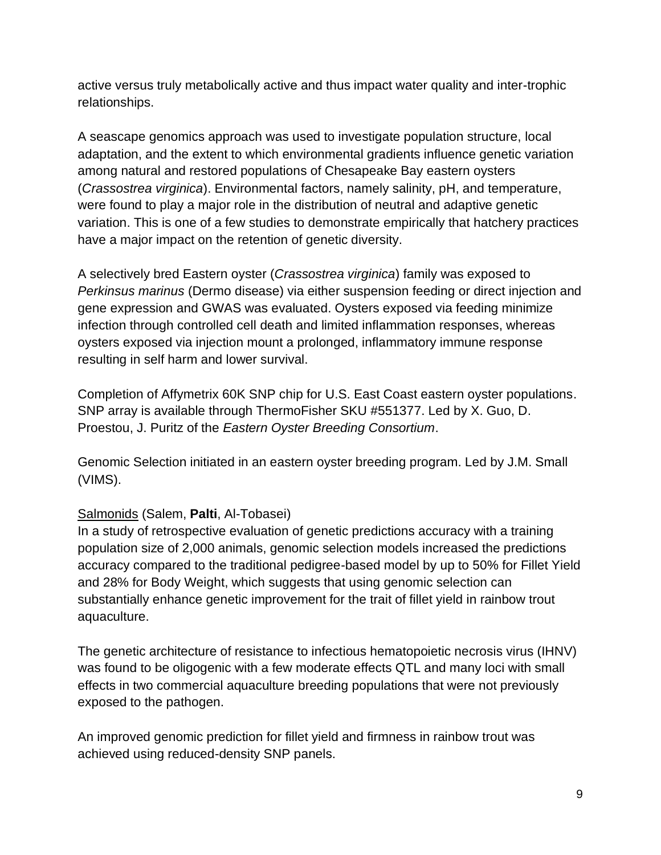active versus truly metabolically active and thus impact water quality and inter-trophic relationships.

A seascape genomics approach was used to investigate population structure, local adaptation, and the extent to which environmental gradients influence genetic variation among natural and restored populations of Chesapeake Bay eastern oysters (*Crassostrea virginica*). Environmental factors, namely salinity, pH, and temperature, were found to play a major role in the distribution of neutral and adaptive genetic variation. This is one of a few studies to demonstrate empirically that hatchery practices have a major impact on the retention of genetic diversity.

A selectively bred Eastern oyster (*Crassostrea virginica*) family was exposed to *Perkinsus marinus* (Dermo disease) via either suspension feeding or direct injection and gene expression and GWAS was evaluated. Oysters exposed via feeding minimize infection through controlled cell death and limited inflammation responses, whereas oysters exposed via injection mount a prolonged, inflammatory immune response resulting in self harm and lower survival.

Completion of Affymetrix 60K SNP chip for U.S. East Coast eastern oyster populations. SNP array is available through ThermoFisher SKU #551377. Led by X. Guo, D. Proestou, J. Puritz of the *Eastern Oyster Breeding Consortium*.

Genomic Selection initiated in an eastern oyster breeding program. Led by J.M. Small (VIMS).

## Salmonids (Salem, **Palti**, Al-Tobasei)

In a study of retrospective evaluation of genetic predictions accuracy with a training population size of 2,000 animals, genomic selection models increased the predictions accuracy compared to the traditional pedigree-based model by up to 50% for Fillet Yield and 28% for Body Weight, which suggests that using genomic selection can substantially enhance genetic improvement for the trait of fillet yield in rainbow trout aquaculture.

The genetic architecture of resistance to infectious hematopoietic necrosis virus (IHNV) was found to be oligogenic with a few moderate effects QTL and many loci with small effects in two commercial aquaculture breeding populations that were not previously exposed to the pathogen.

An improved genomic prediction for fillet yield and firmness in rainbow trout was achieved using reduced-density SNP panels.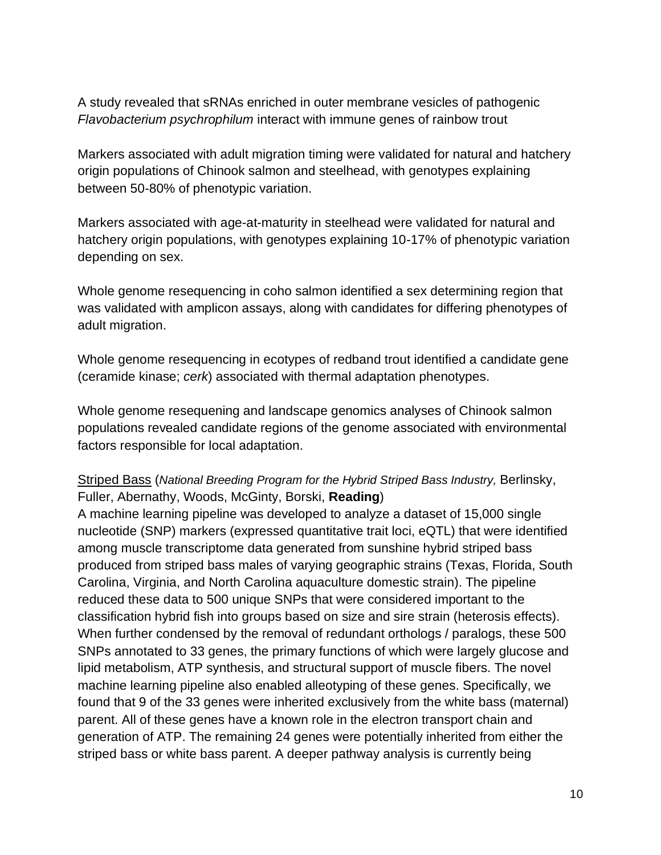A study revealed that sRNAs enriched in outer membrane vesicles of pathogenic *Flavobacterium psychrophilum* interact with immune genes of rainbow trout

Markers associated with adult migration timing were validated for natural and hatchery origin populations of Chinook salmon and steelhead, with genotypes explaining between 50-80% of phenotypic variation.

Markers associated with age-at-maturity in steelhead were validated for natural and hatchery origin populations, with genotypes explaining 10-17% of phenotypic variation depending on sex.

Whole genome resequencing in coho salmon identified a sex determining region that was validated with amplicon assays, along with candidates for differing phenotypes of adult migration.

Whole genome resequencing in ecotypes of redband trout identified a candidate gene (ceramide kinase; *cerk*) associated with thermal adaptation phenotypes.

Whole genome resequening and landscape genomics analyses of Chinook salmon populations revealed candidate regions of the genome associated with environmental factors responsible for local adaptation.

#### Striped Bass (*National Breeding Program for the Hybrid Striped Bass Industry,* Berlinsky, Fuller, Abernathy, Woods, McGinty, Borski, **Reading**)

A machine learning pipeline was developed to analyze a dataset of 15,000 single nucleotide (SNP) markers (expressed quantitative trait loci, eQTL) that were identified among muscle transcriptome data generated from sunshine hybrid striped bass produced from striped bass males of varying geographic strains (Texas, Florida, South Carolina, Virginia, and North Carolina aquaculture domestic strain). The pipeline reduced these data to 500 unique SNPs that were considered important to the classification hybrid fish into groups based on size and sire strain (heterosis effects). When further condensed by the removal of redundant orthologs / paralogs, these 500 SNPs annotated to 33 genes, the primary functions of which were largely glucose and lipid metabolism, ATP synthesis, and structural support of muscle fibers. The novel machine learning pipeline also enabled alleotyping of these genes. Specifically, we found that 9 of the 33 genes were inherited exclusively from the white bass (maternal) parent. All of these genes have a known role in the electron transport chain and generation of ATP. The remaining 24 genes were potentially inherited from either the striped bass or white bass parent. A deeper pathway analysis is currently being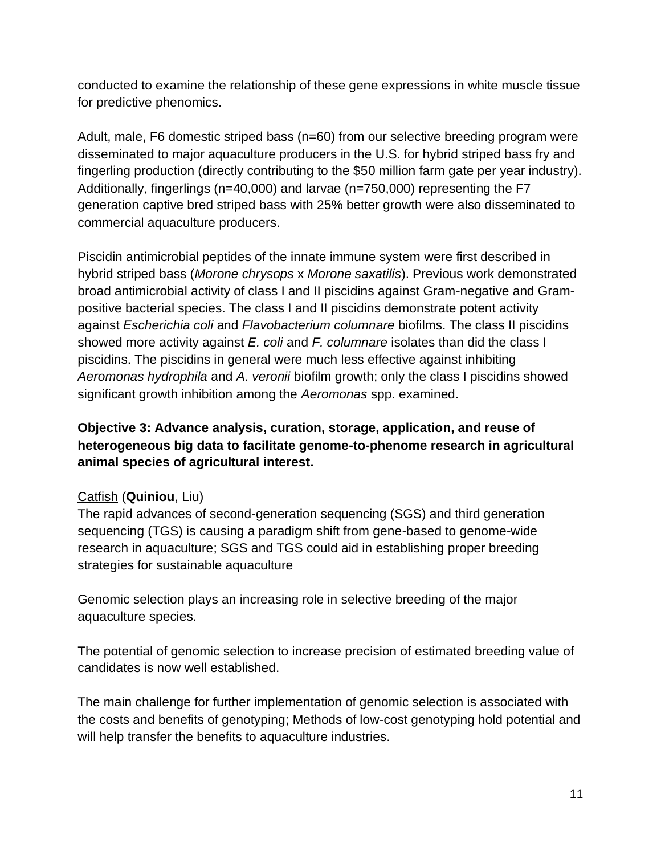conducted to examine the relationship of these gene expressions in white muscle tissue for predictive phenomics.

Adult, male, F6 domestic striped bass (n=60) from our selective breeding program were disseminated to major aquaculture producers in the U.S. for hybrid striped bass fry and fingerling production (directly contributing to the \$50 million farm gate per year industry). Additionally, fingerlings (n=40,000) and larvae (n=750,000) representing the F7 generation captive bred striped bass with 25% better growth were also disseminated to commercial aquaculture producers.

Piscidin antimicrobial peptides of the innate immune system were first described in hybrid striped bass (*Morone chrysops* x *Morone saxatilis*). Previous work demonstrated broad antimicrobial activity of class I and II piscidins against Gram-negative and Grampositive bacterial species. The class I and II piscidins demonstrate potent activity against *Escherichia coli* and *Flavobacterium columnare* biofilms. The class II piscidins showed more activity against *E. coli* and *F. columnare* isolates than did the class I piscidins. The piscidins in general were much less effective against inhibiting *Aeromonas hydrophila* and *A. veronii* biofilm growth; only the class I piscidins showed significant growth inhibition among the *Aeromonas* spp. examined.

# **Objective 3: Advance analysis, curation, storage, application, and reuse of heterogeneous big data to facilitate genome-to-phenome research in agricultural animal species of agricultural interest.**

## Catfish (**Quiniou**, Liu)

The rapid advances of second-generation sequencing (SGS) and third generation sequencing (TGS) is causing a paradigm shift from gene-based to genome-wide research in aquaculture; SGS and TGS could aid in establishing proper breeding strategies for sustainable aquaculture

Genomic selection plays an increasing role in selective breeding of the major aquaculture species.

The potential of genomic selection to increase precision of estimated breeding value of candidates is now well established.

The main challenge for further implementation of genomic selection is associated with the costs and benefits of genotyping; Methods of low-cost genotyping hold potential and will help transfer the benefits to aquaculture industries.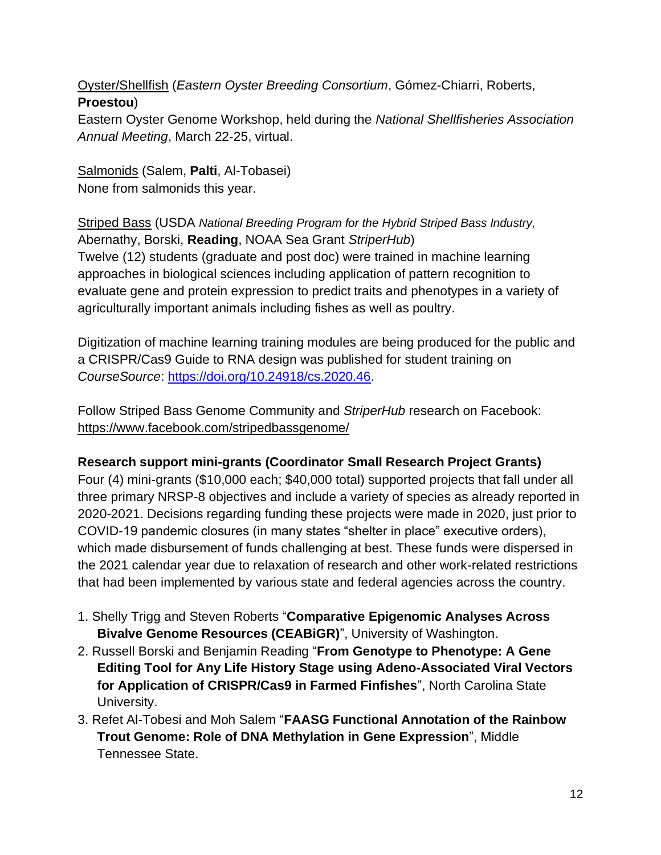Oyster/Shellfish (*Eastern Oyster Breeding Consortium*, Gómez-Chiarri, Roberts, **Proestou**)

Eastern Oyster Genome Workshop, held during the *National Shellfisheries Association Annual Meeting*, March 22-25, virtual.

Salmonids (Salem, **Palti**, Al-Tobasei) None from salmonids this year.

Striped Bass (USDA *National Breeding Program for the Hybrid Striped Bass Industry,*  Abernathy, Borski, **Reading**, NOAA Sea Grant *StriperHub*) Twelve (12) students (graduate and post doc) were trained in machine learning approaches in biological sciences including application of pattern recognition to

evaluate gene and protein expression to predict traits and phenotypes in a variety of agriculturally important animals including fishes as well as poultry.

Digitization of machine learning training modules are being produced for the public and a CRISPR/Cas9 Guide to RNA design was published for student training on *CourseSource*: [https://doi.org/10.24918/cs.2020.46.](https://doi.org/10.24918/cs.2020.46)

Follow Striped Bass Genome Community and *StriperHub* research on Facebook: <https://www.facebook.com/stripedbassgenome/>

## **Research support mini-grants (Coordinator Small Research Project Grants)**

Four (4) mini-grants (\$10,000 each; \$40,000 total) supported projects that fall under all three primary NRSP-8 objectives and include a variety of species as already reported in 2020-2021. Decisions regarding funding these projects were made in 2020, just prior to COVID-19 pandemic closures (in many states "shelter in place" executive orders), which made disbursement of funds challenging at best. These funds were dispersed in the 2021 calendar year due to relaxation of research and other work-related restrictions that had been implemented by various state and federal agencies across the country.

- 1. Shelly Trigg and Steven Roberts "**Comparative Epigenomic Analyses Across Bivalve Genome Resources (CEABiGR)**", University of Washington.
- 2. Russell Borski and Benjamin Reading "**From Genotype to Phenotype: A Gene Editing Tool for Any Life History Stage using Adeno-Associated Viral Vectors for Application of CRISPR/Cas9 in Farmed Finfishes**", North Carolina State University.
- 3. Refet Al-Tobesi and Moh Salem "**FAASG Functional Annotation of the Rainbow Trout Genome: Role of DNA Methylation in Gene Expression**", Middle Tennessee State.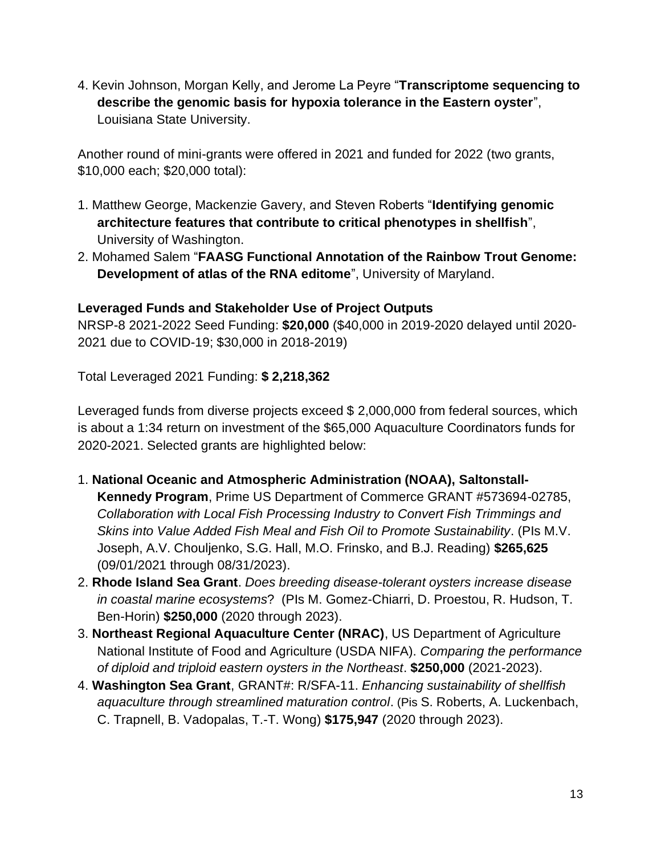4. Kevin Johnson, Morgan Kelly, and Jerome La Peyre "**Transcriptome sequencing to describe the genomic basis for hypoxia tolerance in the Eastern oyster**", Louisiana State University.

Another round of mini-grants were offered in 2021 and funded for 2022 (two grants, \$10,000 each; \$20,000 total):

- 1. Matthew George, Mackenzie Gavery, and Steven Roberts "**Identifying genomic architecture features that contribute to critical phenotypes in shellfish**", University of Washington.
- 2. Mohamed Salem "**FAASG Functional Annotation of the Rainbow Trout Genome: Development of atlas of the RNA editome**", University of Maryland.

#### **Leveraged Funds and Stakeholder Use of Project Outputs**

NRSP-8 2021-2022 Seed Funding: **\$20,000** (\$40,000 in 2019-2020 delayed until 2020- 2021 due to COVID-19; \$30,000 in 2018-2019)

Total Leveraged 2021 Funding: **\$ 2,218,362**

Leveraged funds from diverse projects exceed \$ 2,000,000 from federal sources, which is about a 1:34 return on investment of the \$65,000 Aquaculture Coordinators funds for 2020-2021. Selected grants are highlighted below:

- 1. **National Oceanic and Atmospheric Administration (NOAA), Saltonstall-Kennedy Program**, Prime US Department of Commerce GRANT #573694-02785, *Collaboration with Local Fish Processing Industry to Convert Fish Trimmings and Skins into Value Added Fish Meal and Fish Oil to Promote Sustainability*. (PIs M.V. Joseph, A.V. Chouljenko, S.G. Hall, M.O. Frinsko, and B.J. Reading) **\$265,625**  (09/01/2021 through 08/31/2023).
- 2. **Rhode Island Sea Grant**. *Does breeding disease-tolerant oysters increase disease in coastal marine ecosystems*? (PIs M. Gomez-Chiarri, D. Proestou, R. Hudson, T. Ben-Horin) **\$250,000** (2020 through 2023).
- 3. **Northeast Regional Aquaculture Center (NRAC)**, US Department of Agriculture National Institute of Food and Agriculture (USDA NIFA). *Comparing the performance of diploid and triploid eastern oysters in the Northeast*. **\$250,000** (2021-2023).
- 4. **Washington Sea Grant**, GRANT#: R/SFA-11. *Enhancing sustainability of shellfish aquaculture through streamlined maturation control*. (Pis S. Roberts, A. Luckenbach, C. Trapnell, B. Vadopalas, T.-T. Wong) **\$175,947** (2020 through 2023).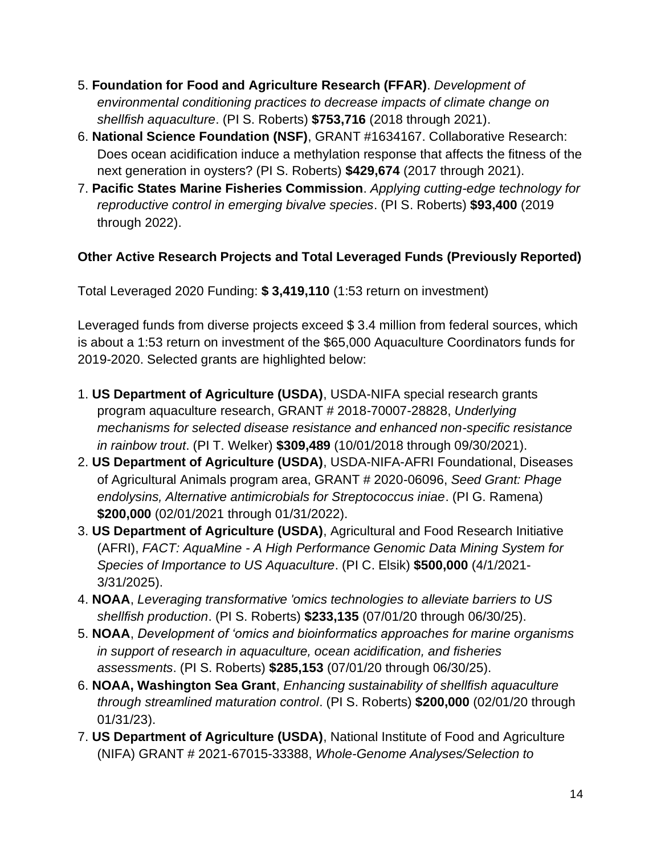- 5. **Foundation for Food and Agriculture Research (FFAR)**. *Development of environmental conditioning practices to decrease impacts of climate change on shellfish aquaculture*. (PI S. Roberts) **\$753,716** (2018 through 2021).
- 6. **National Science Foundation (NSF)**, GRANT #1634167. Collaborative Research: Does ocean acidification induce a methylation response that affects the fitness of the next generation in oysters? (PI S. Roberts) **\$429,674** (2017 through 2021).
- 7. **Pacific States Marine Fisheries Commission**. *Applying cutting-edge technology for reproductive control in emerging bivalve species*. (PI S. Roberts) **\$93,400** (2019 through 2022).

## **Other Active Research Projects and Total Leveraged Funds (Previously Reported)**

Total Leveraged 2020 Funding: **\$ 3,419,110** (1:53 return on investment)

Leveraged funds from diverse projects exceed \$3.4 million from federal sources, which is about a 1:53 return on investment of the \$65,000 Aquaculture Coordinators funds for 2019-2020. Selected grants are highlighted below:

- 1. **US Department of Agriculture (USDA)**, USDA-NIFA special research grants program aquaculture research, GRANT # 2018-70007-28828, *Underlying mechanisms for selected disease resistance and enhanced non-specific resistance in rainbow trout*. (PI T. Welker) **\$309,489** (10/01/2018 through 09/30/2021).
- 2. **US Department of Agriculture (USDA)**, USDA-NIFA-AFRI Foundational, Diseases of Agricultural Animals program area, GRANT # 2020-06096, *Seed Grant: Phage endolysins, Alternative antimicrobials for Streptococcus iniae*. (PI G. Ramena) **\$200,000** (02/01/2021 through 01/31/2022).
- 3. **US Department of Agriculture (USDA)**, Agricultural and Food Research Initiative (AFRI), *FACT: AquaMine - A High Performance Genomic Data Mining System for Species of Importance to US Aquaculture*. (PI C. Elsik) **\$500,000** (4/1/2021- 3/31/2025).
- 4. **NOAA**, *Leveraging transformative 'omics technologies to alleviate barriers to US shellfish production*. (PI S. Roberts) **\$233,135** (07/01/20 through 06/30/25).
- 5. **NOAA**, *Development of 'omics and bioinformatics approaches for marine organisms in support of research in aquaculture, ocean acidification, and fisheries assessments*. (PI S. Roberts) **\$285,153** (07/01/20 through 06/30/25).
- 6. **NOAA, Washington Sea Grant**, *Enhancing sustainability of shellfish aquaculture through streamlined maturation control*. (PI S. Roberts) **\$200,000** (02/01/20 through 01/31/23).
- 7. **US Department of Agriculture (USDA)**, National Institute of Food and Agriculture (NIFA) GRANT # 2021-67015-33388, *Whole-Genome Analyses/Selection to*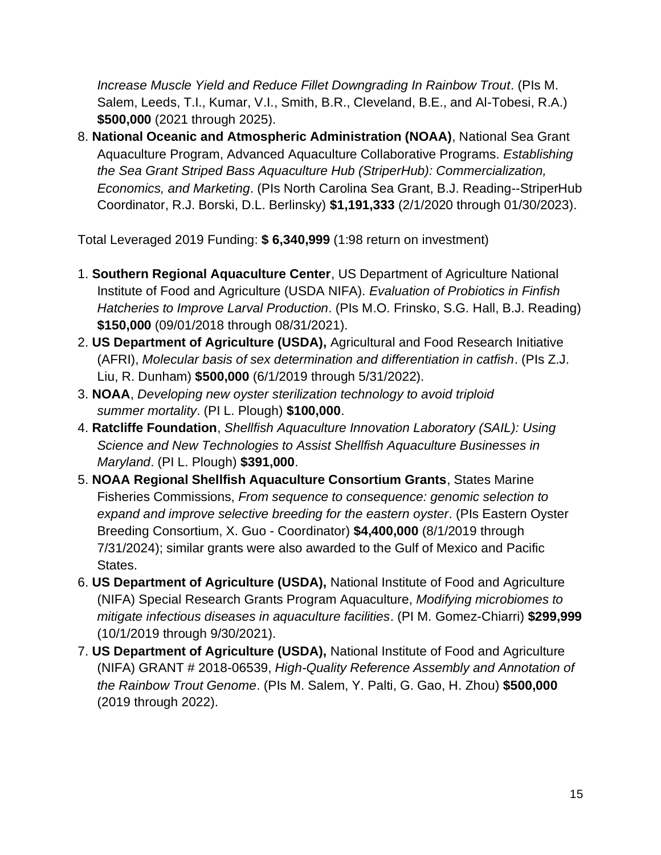*Increase Muscle Yield and Reduce Fillet Downgrading In Rainbow Trout*. (PIs M. Salem, Leeds, T.I., Kumar, V.I., Smith, B.R., Cleveland, B.E., and Al-Tobesi, R.A.) **\$500,000** (2021 through 2025).

8. **National Oceanic and Atmospheric Administration (NOAA)**, National Sea Grant Aquaculture Program, Advanced Aquaculture Collaborative Programs. *Establishing the Sea Grant Striped Bass Aquaculture Hub (StriperHub): Commercialization, Economics, and Marketing*. (PIs North Carolina Sea Grant, B.J. Reading--StriperHub Coordinator, R.J. Borski, D.L. Berlinsky) **\$1,191,333** (2/1/2020 through 01/30/2023).

Total Leveraged 2019 Funding: **\$ 6,340,999** (1:98 return on investment)

- 1. **Southern Regional Aquaculture Center**, US Department of Agriculture National Institute of Food and Agriculture (USDA NIFA). *Evaluation of Probiotics in Finfish Hatcheries to Improve Larval Production*. (PIs M.O. Frinsko, S.G. Hall, B.J. Reading) **\$150,000** (09/01/2018 through 08/31/2021).
- 2. **US Department of Agriculture (USDA),** Agricultural and Food Research Initiative (AFRI), *Molecular basis of sex determination and differentiation in catfish*. (PIs Z.J. Liu, R. Dunham) **\$500,000** (6/1/2019 through 5/31/2022).
- 3. **NOAA**, *Developing new oyster sterilization technology to avoid triploid summer mortality*. (PI L. Plough) **\$100,000**.
- 4. **Ratcliffe Foundation**, *Shellfish Aquaculture Innovation Laboratory (SAIL): Using Science and New Technologies to Assist Shellfish Aquaculture Businesses in Maryland*. (PI L. Plough) **\$391,000**.
- 5. **NOAA Regional Shellfish Aquaculture Consortium Grants**, States Marine Fisheries Commissions, *From sequence to consequence: genomic selection to expand and improve selective breeding for the eastern oyster*. (PIs Eastern Oyster Breeding Consortium, X. Guo - Coordinator) **\$4,400,000** (8/1/2019 through 7/31/2024); similar grants were also awarded to the Gulf of Mexico and Pacific States.
- 6. **US Department of Agriculture (USDA),** National Institute of Food and Agriculture (NIFA) Special Research Grants Program Aquaculture, *Modifying microbiomes to mitigate infectious diseases in aquaculture facilities*. (PI M. Gomez-Chiarri) **\$299,999** (10/1/2019 through 9/30/2021).
- 7. **US Department of Agriculture (USDA),** National Institute of Food and Agriculture (NIFA) GRANT # 2018-06539, *High-Quality Reference Assembly and Annotation of the Rainbow Trout Genome*. (PIs M. Salem, Y. Palti, G. Gao, H. Zhou) **\$500,000** (2019 through 2022).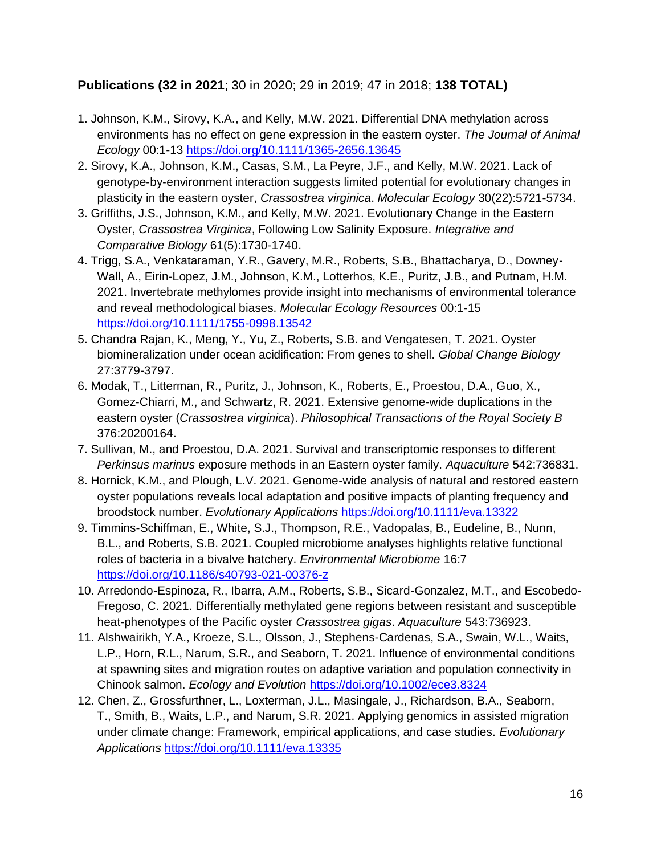#### **Publications (32 in 2021**; 30 in 2020; 29 in 2019; 47 in 2018; **138 TOTAL)**

- 1. Johnson, K.M., Sirovy, K.A., and Kelly, M.W. 2021. Differential DNA methylation across environments has no effect on gene expression in the eastern oyster. *The Journal of Animal Ecology* 00:1-13<https://doi.org/10.1111/1365-2656.13645>
- 2. Sirovy, K.A., Johnson, K.M., Casas, S.M., La Peyre, J.F., and Kelly, M.W. 2021. Lack of genotype‐by‐environment interaction suggests limited potential for evolutionary changes in plasticity in the eastern oyster, *Crassostrea virginica*. *Molecular Ecology* 30(22):5721-5734.
- 3. Griffiths, J.S., Johnson, K.M., and Kelly, M.W. 2021. Evolutionary Change in the Eastern Oyster, *Crassostrea Virginica*, Following Low Salinity Exposure. *Integrative and Comparative Biology* 61(5):1730-1740.
- 4. Trigg, S.A., Venkataraman, Y.R., Gavery, M.R., Roberts, S.B., Bhattacharya, D., Downey-Wall, A., Eirin-Lopez, J.M., Johnson, K.M., Lotterhos, K.E., Puritz, J.B., and Putnam, H.M. 2021. Invertebrate methylomes provide insight into mechanisms of environmental tolerance and reveal methodological biases. *Molecular Ecology Resources* 00:1-15 <https://doi.org/10.1111/1755-0998.13542>
- 5. Chandra Rajan, K., Meng, Y., Yu, Z., Roberts, S.B. and Vengatesen, T. 2021. Oyster biomineralization under ocean acidification: From genes to shell. *Global Change Biology* 27:3779-3797.
- 6. Modak, T., Litterman, R., Puritz, J., Johnson, K., Roberts, E., Proestou, D.A., Guo, X., Gomez-Chiarri, M., and Schwartz, R. 2021. Extensive genome-wide duplications in the eastern oyster (*Crassostrea virginica*). *Philosophical Transactions of the Royal Society B* 376:20200164.
- 7. Sullivan, M., and Proestou, D.A. 2021. Survival and transcriptomic responses to different *Perkinsus marinus* exposure methods in an Eastern oyster family. *Aquaculture* 542:736831.
- 8. Hornick, K.M., and Plough, L.V. 2021. Genome-wide analysis of natural and restored eastern oyster populations reveals local adaptation and positive impacts of planting frequency and broodstock number. *Evolutionary Applications* <https://doi.org/10.1111/eva.13322>
- 9. Timmins-Schiffman, E., White, S.J., Thompson, R.E., Vadopalas, B., Eudeline, B., Nunn, B.L., and Roberts, S.B. 2021. Coupled microbiome analyses highlights relative functional roles of bacteria in a bivalve hatchery. *Environmental Microbiome* 16:7 <https://doi.org/10.1186/s40793-021-00376-z>
- 10. Arredondo-Espinoza, R., Ibarra, A.M., Roberts, S.B., Sicard-Gonzalez, M.T., and Escobedo-Fregoso, C. 2021. Differentially methylated gene regions between resistant and susceptible heat-phenotypes of the Pacific oyster *Crassostrea gigas*. *Aquaculture* 543:736923.
- 11. Alshwairikh, Y.A., Kroeze, S.L., Olsson, J., Stephens-Cardenas, S.A., Swain, W.L., Waits, L.P., Horn, R.L., Narum, S.R., and Seaborn, T. 2021. Influence of environmental conditions at spawning sites and migration routes on adaptive variation and population connectivity in Chinook salmon. *Ecology and Evolution* <https://doi.org/10.1002/ece3.8324>
- 12. Chen, Z., Grossfurthner, L., Loxterman, J.L., Masingale, J., Richardson, B.A., Seaborn, T., Smith, B., Waits, L.P., and Narum, S.R. 2021. Applying genomics in assisted migration under climate change: Framework, empirical applications, and case studies. *Evolutionary Applications* <https://doi.org/10.1111/eva.13335>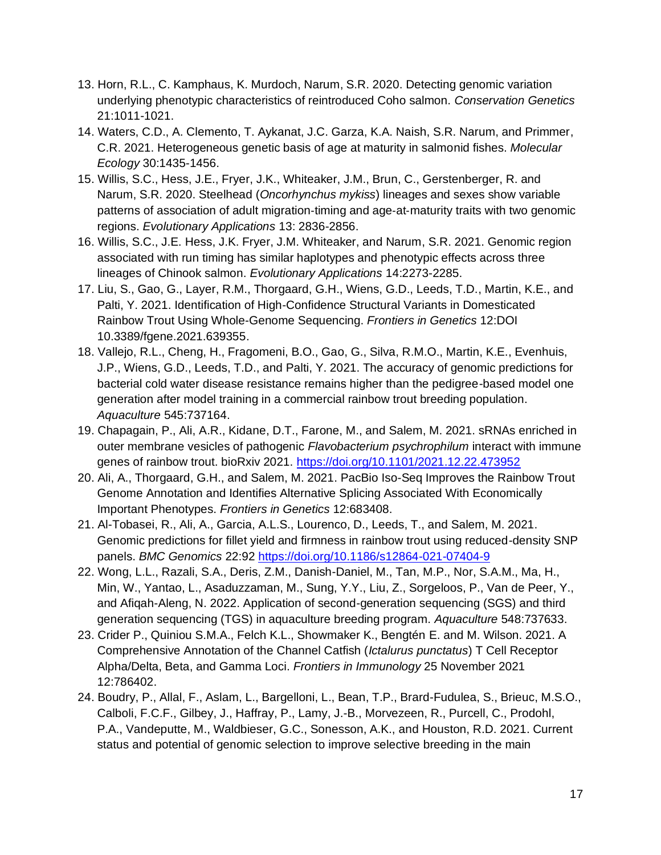- 13. Horn, R.L., C. Kamphaus, K. Murdoch, Narum, S.R. 2020. Detecting genomic variation underlying phenotypic characteristics of reintroduced Coho salmon. *Conservation Genetics* 21:1011-1021.
- 14. Waters, C.D., A. Clemento, T. Aykanat, J.C. Garza, K.A. Naish, S.R. Narum, and Primmer, C.R. 2021. Heterogeneous genetic basis of age at maturity in salmonid fishes. *Molecular Ecology* 30:1435-1456.
- 15. Willis, S.C., Hess, J.E., Fryer, J.K., Whiteaker, J.M., Brun, C., Gerstenberger, R. and Narum, S.R. 2020. Steelhead (*Oncorhynchus mykiss*) lineages and sexes show variable patterns of association of adult migration‐timing and age‐at‐maturity traits with two genomic regions. *Evolutionary Applications* 13: 2836-2856.
- 16. Willis, S.C., J.E. Hess, J.K. Fryer, J.M. Whiteaker, and Narum, S.R. 2021. Genomic region associated with run timing has similar haplotypes and phenotypic effects across three lineages of Chinook salmon. *Evolutionary Applications* 14:2273-2285.
- 17. Liu, S., Gao, G., Layer, R.M., Thorgaard, G.H., Wiens, G.D., Leeds, T.D., Martin, K.E., and Palti, Y. 2021. Identification of High-Confidence Structural Variants in Domesticated Rainbow Trout Using Whole-Genome Sequencing. *Frontiers in Genetics* 12:DOI 10.3389/fgene.2021.639355.
- 18. Vallejo, R.L., Cheng, H., Fragomeni, B.O., Gao, G., Silva, R.M.O., Martin, K.E., Evenhuis, J.P., Wiens, G.D., Leeds, T.D., and Palti, Y. 2021. The accuracy of genomic predictions for bacterial cold water disease resistance remains higher than the pedigree-based model one generation after model training in a commercial rainbow trout breeding population. *Aquaculture* 545:737164.
- 19. Chapagain, P., Ali, A.R., Kidane, D.T., Farone, M., and Salem, M. 2021. sRNAs enriched in outer membrane vesicles of pathogenic *Flavobacterium psychrophilum* interact with immune genes of rainbow trout. bioRxiv 2021.<https://doi.org/10.1101/2021.12.22.473952>
- 20. Ali, A., Thorgaard, G.H., and Salem, M. 2021. PacBio Iso-Seq Improves the Rainbow Trout Genome Annotation and Identifies Alternative Splicing Associated With Economically Important Phenotypes. *Frontiers in Genetics* 12:683408.
- 21. Al-Tobasei, R., Ali, A., Garcia, A.L.S., Lourenco, D., Leeds, T., and Salem, M. 2021. Genomic predictions for fillet yield and firmness in rainbow trout using reduced-density SNP panels. *BMC Genomics* 22:92<https://doi.org/10.1186/s12864-021-07404-9>
- 22. Wong, L.L., Razali, S.A., Deris, Z.M., Danish-Daniel, M., Tan, M.P., Nor, S.A.M., Ma, H., Min, W., Yantao, L., Asaduzzaman, M., Sung, Y.Y., Liu, Z., Sorgeloos, P., Van de Peer, Y., and Afiqah-Aleng, N. 2022. Application of second-generation sequencing (SGS) and third generation sequencing (TGS) in aquaculture breeding program. *Aquaculture* 548:737633.
- 23. Crider P., Quiniou S.M.A., Felch K.L., Showmaker K., Bengtén E. and M. Wilson. 2021. A Comprehensive Annotation of the Channel Catfish (*Ictalurus punctatus*) T Cell Receptor Alpha/Delta, Beta, and Gamma Loci. *Frontiers in Immunology* 25 November 2021 12:786402.
- 24. Boudry, P., Allal, F., Aslam, L., Bargelloni, L., Bean, T.P., Brard-Fudulea, S., Brieuc, M.S.O., Calboli, F.C.F., Gilbey, J., Haffray, P., Lamy, J.-B., Morvezeen, R., Purcell, C., Prodohl, P.A., Vandeputte, M., Waldbieser, G.C., Sonesson, A.K., and Houston, R.D. 2021. Current status and potential of genomic selection to improve selective breeding in the main